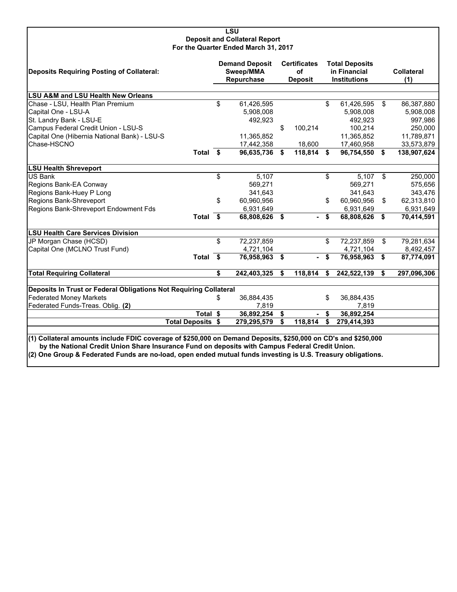#### **LSU Deposit and Collateral Report For the Quarter Ended March 31, 2017**

| Deposits Requiring Posting of Collateral:                                                                                                                                                                        |          | <b>Demand Deposit</b><br>Sweep/MMA<br>Repurchase |    | <b>Certificates</b><br>of<br><b>Deposit</b> |    | <b>Total Deposits</b><br>in Financial<br><b>Institutions</b> |    | <b>Collateral</b><br>(1) |
|------------------------------------------------------------------------------------------------------------------------------------------------------------------------------------------------------------------|----------|--------------------------------------------------|----|---------------------------------------------|----|--------------------------------------------------------------|----|--------------------------|
| <b>LSU A&amp;M and LSU Health New Orleans</b>                                                                                                                                                                    |          |                                                  |    |                                             |    |                                                              |    |                          |
| Chase - LSU, Health Plan Premium                                                                                                                                                                                 | \$       | 61,426,595                                       |    |                                             | \$ | 61,426,595                                                   | \$ | 86,387,880               |
| Capital One - LSU-A                                                                                                                                                                                              |          | 5,908,008                                        |    |                                             |    | 5,908,008                                                    |    | 5,908,008                |
| St. Landry Bank - LSU-E                                                                                                                                                                                          |          | 492,923                                          |    |                                             |    | 492,923                                                      |    | 997,986                  |
| Campus Federal Credit Union - LSU-S                                                                                                                                                                              |          |                                                  | \$ | 100,214                                     |    | 100,214                                                      |    | 250,000                  |
| Capital One (Hibernia National Bank) - LSU-S                                                                                                                                                                     |          | 11,365,852                                       |    |                                             |    | 11,365,852                                                   |    | 11,789,871               |
| Chase-HSCNO                                                                                                                                                                                                      |          | 17,442,358                                       |    | 18,600                                      |    | 17,460,958                                                   |    | 33,573,879               |
| Total \$                                                                                                                                                                                                         |          | 96,635,736                                       | \$ | 118,814 \$                                  |    | 96,754,550 \$                                                |    | 138,907,624              |
| <b>LSU Health Shreveport</b>                                                                                                                                                                                     |          |                                                  |    |                                             |    |                                                              |    |                          |
| <b>US Bank</b>                                                                                                                                                                                                   | \$       | 5,107                                            |    |                                             | \$ | 5,107                                                        | \$ | 250,000                  |
| Regions Bank-EA Conway                                                                                                                                                                                           |          | 569,271                                          |    |                                             |    | 569,271                                                      |    | 575,656                  |
| Regions Bank-Huey P Long                                                                                                                                                                                         |          | 341,643                                          |    |                                             |    | 341,643                                                      |    | 343,476                  |
| Regions Bank-Shreveport                                                                                                                                                                                          | \$       | 60,960,956                                       |    |                                             | \$ | 60,960,956                                                   | \$ | 62,313,810               |
| Regions Bank-Shreveport Endowment Fds                                                                                                                                                                            |          | 6,931,649                                        |    |                                             |    | 6,931,649                                                    |    | 6,931,649                |
|                                                                                                                                                                                                                  | Total \$ | 68,808,626                                       | Ŝ. |                                             | S. | 68,808,626                                                   | \$ | 70,414,591               |
| <b>LSU Health Care Services Division</b>                                                                                                                                                                         |          |                                                  |    |                                             |    |                                                              |    |                          |
| JP Morgan Chase (HCSD)                                                                                                                                                                                           | \$       | 72,237,859                                       |    |                                             | \$ | 72,237,859                                                   | \$ | 79,281,634               |
| Capital One (MCLNO Trust Fund)                                                                                                                                                                                   |          | 4,721,104                                        |    |                                             |    | 4,721,104                                                    |    | 8,492,457                |
| Total \$                                                                                                                                                                                                         |          | 76,958,963                                       | \$ | $\sim$                                      | \$ | 76,958,963                                                   | \$ | 87,774,091               |
| <b>Total Requiring Collateral</b>                                                                                                                                                                                | \$       | 242,403,325                                      | S. | 118,814                                     | \$ | 242,522,139                                                  | Ŝ. | 297,096,306              |
| Deposits In Trust or Federal Obligations Not Requiring Collateral                                                                                                                                                |          |                                                  |    |                                             |    |                                                              |    |                          |
| <b>Federated Money Markets</b>                                                                                                                                                                                   | S        | 36,884,435                                       |    |                                             | \$ | 36,884,435                                                   |    |                          |
| Federated Funds-Treas. Oblig. (2)                                                                                                                                                                                |          | 7,819                                            |    |                                             |    | 7,819                                                        |    |                          |
|                                                                                                                                                                                                                  | Total \$ | 36,892,254                                       | \$ |                                             | \$ | 36,892,254                                                   |    |                          |
| <b>Total Deposits \$</b>                                                                                                                                                                                         |          | 279,295,579                                      | S. | 118,814                                     | \$ | 279,414,393                                                  |    |                          |
|                                                                                                                                                                                                                  |          |                                                  |    |                                             |    |                                                              |    |                          |
| (1) Collateral amounts include FDIC coverage of \$250,000 on Demand Deposits, \$250,000 on CD's and \$250,000<br>by the National Credit Union Share Insurance Fund on deposits with Campus Federal Credit Union. |          |                                                  |    |                                             |    |                                                              |    |                          |

**(2) One Group & Federated Funds are no-load, open ended mutual funds investing is U.S. Treasury obligations.**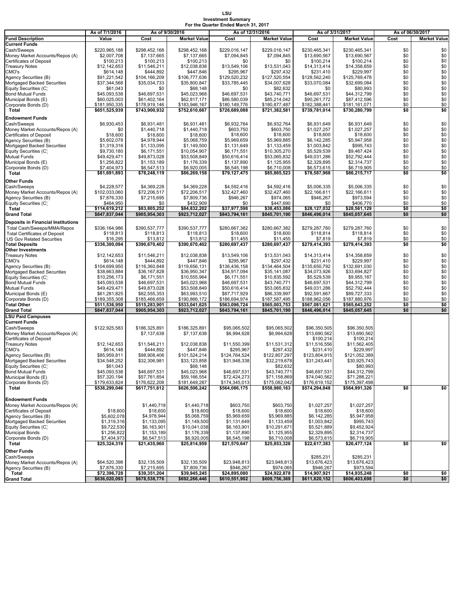## **LSU Investment Summary For the Quarter Ended March 31, 2017**

|                                                                     | As of 7/1/2016               | As of 9/30/2016              |                              | As of 12/31/2016             |                              | As of 3/31/2017              |                              | As of 06/30/2017 |                        |
|---------------------------------------------------------------------|------------------------------|------------------------------|------------------------------|------------------------------|------------------------------|------------------------------|------------------------------|------------------|------------------------|
| <b>Fund Description</b>                                             | Value                        | Cost                         | <b>Market Value</b>          | Cost                         | <b>Market Value</b>          | Cost                         | <b>Market Value</b>          | Cost             | <b>Market Value</b>    |
| <b>Current Funds</b>                                                |                              |                              |                              |                              |                              |                              |                              |                  |                        |
| Cash/Sweeps                                                         | \$220,965,188                | \$298.452.168                | \$298,452,168                | \$229,016,147                | \$229,016,147                | \$230.465.341                | \$230,465,341                | \$0              | \$0                    |
| Money Market Accounts/Repos (A)                                     | \$2,007,708                  | \$7,137,665                  | \$7,137,665                  | \$7,094,845                  | \$7,094,845                  | \$13,690,567                 | \$13,690,567                 | \$0<br>\$0       | $\$0$<br>\$0           |
| <b>Certificates of Deposit</b><br><b>Treasury Notes</b>             | \$100,213<br>\$12,142,653    | \$100,213<br>\$11,546,211    | \$100,213<br>\$12,038,838    | \$0<br>\$13,549,106          | \$0<br>\$13,531,043          | \$100,214<br>\$14,313,414    | \$100,214<br>\$14,358,659    | \$0              | \$0                    |
| CMO's                                                               | \$614,148                    | \$444,892                    | \$447,846                    | \$295,967                    | \$297,432                    | \$231,410                    | \$229,997                    | \$0              |                        |
| Agency Securities (B)                                               | \$91,221,542                 | \$104,166,209                | \$106,777,636                | \$129,520,232                | \$127,520,554                | \$128,562,240                | \$125,769,478                | \$0              | $$0$<br>$$0$           |
| Mortgaged Backed Securities                                         | \$37,344,568                 | \$35,034,733                 | \$35,800,847                 | \$33,785,445                 | \$34,007,628                 | \$33,070,084                 | \$32,699,084                 | \$0              | \$0                    |
| Equity Securities (C)                                               | \$61,043                     | \$0                          | \$68,148                     | \$0                          | \$82,632                     | \$0                          | \$80,993                     | \$0              | \$0                    |
| <b>Bond Mutual Funds</b>                                            | \$45,093,538                 | \$46,697,531                 | \$45,023,968                 | \$46,697,531                 | \$43,740,771                 | \$46,697,531                 | \$44,312,799                 | \$0              | $\$0$                  |
| Municipal Bonds (E)                                                 | \$60,025,003                 | \$61,402,164                 | \$62,817,171                 | \$86,580,039                 | \$85,214,042                 | \$90,261,772                 | \$87,412,596                 | \$0              | \$0                    |
| Corporate Bonds (D)                                                 | \$181,950,335                | \$178,919,146                | \$183,946,167                | \$180,149,776                | \$180,877,487                | \$182,388,441                | \$181,161,071                | \$0              | \$0                    |
| Total                                                               | \$651,525,939                | \$743,900,932                | \$752,610,667                | \$726,689,088                | \$721,382,581                | \$739,781,014                | \$730,280,799                | \$0              | \$0                    |
| <b>Endowment Funds</b>                                              |                              |                              |                              |                              |                              |                              |                              |                  |                        |
| Cash/Sweeps                                                         | \$6,930,453                  | \$6,931,481                  | \$6,931,481                  | \$6,932,764                  | \$6,932,764                  | \$6,931,649                  | \$6,931,649                  | \$0              | \$0                    |
| Money Market Accounts/Repos (A)<br><b>Certificates of Deposit</b>   | \$0                          | \$1,440,718                  | \$1,440,718                  | \$603,750                    | \$603,750                    | \$1,027,257                  | \$1,027,257                  | \$0              | \$0<br>$\overline{$}0$ |
| Agency Securities (B)                                               | \$18,600<br>\$5,602,078      | \$18,600<br>\$4,978,944      | \$18,600<br>\$5,068,759      | \$18,600<br>\$5,969,659      | \$18,600<br>\$5,969,885      | \$18,600<br>\$6,142,285      | \$18,600<br>\$5,947,958      | \$0<br>\$0       |                        |
| Mortgaged Backed Securities                                         | \$1,319,316                  | \$1,133,095                  | \$1,149,500                  | \$1,131,649                  | \$1,133,459                  | \$1,003,842                  | \$995,743                    | \$0              | $$0$<br>$$0$           |
| Equity Securities (C)                                               | \$9,730,180                  | \$6,171,551                  | \$10,054,907                 | \$6,171,551                  | \$10,305,270                 | \$5,529,539                  | \$9,467,424                  | \$0              | \$0                    |
| Mutual Funds                                                        | \$49,429,471                 | \$49,873,028                 | \$53,508,849                 | \$50,616,414                 | \$53,065,832                 | \$49,031,286                 | \$52,792,444                 | \$0              | \$0                    |
| Municipal Bonds (E)                                                 | \$1,256,822                  | \$1,153,189                  | \$1,176,339                  | \$1,137,890                  | \$1,125,955                  | \$2,329,895                  | \$2,314,737                  | \$0              | \$0                    |
| Corporate Bonds (D)                                                 | \$7,404,973                  | \$6,547,513                  | \$6,920,005                  | \$6,545,198                  | \$6,710,008                  | \$6,573,615                  | \$6,719,905                  | \$0              | \$0                    |
| Total                                                               | \$81,691,893                 | \$78,248,119                 | \$86,269,158                 | \$79,127,475                 | \$85,865,523                 | \$78,587,968                 | \$86,215,717                 | \$0              | \$0                    |
| Other Funds                                                         |                              |                              |                              |                              |                              |                              |                              |                  |                        |
| Cash/Sweeps                                                         | \$4,228,577                  | \$4,369,228                  | \$4,369,228                  | \$4,592,416                  | \$4,592,416                  | \$5,006,335                  | \$5,006,335                  | \$0              | \$0                    |
| Money Market Accounts/Repos (A)                                     | \$102,033,060                | \$72,206,517                 | \$72,206,517                 | \$32,427,460                 | \$32,427,460                 | \$22,166,611                 | \$22,166,611                 | \$0              | \$0                    |
| Agency Securities (B)                                               | \$7,876,330                  | \$7,215,695                  | \$7,809,736                  | \$946,267                    | \$974,065                    | \$946,267                    | \$973,594                    | \$0              | \$0                    |
| Equity Securities (C)<br>Total                                      | \$464,950<br>\$114,619,212   | \$0<br>\$83.805.252          | \$432,909<br>\$84,832,202    | \$0<br>\$37,977,598          | \$447,690<br>\$38.453.086    | \$0<br>\$28.127.032          | \$406,770<br>\$28,561,129    | \$0<br>\$0       | \$0<br>\$0             |
| <b>Grand Total</b>                                                  | \$847,837,044                | \$905,954,303                | \$923,712,027                | \$843,794,161                | \$845,701,190                | \$846,496,014                | \$845,057,645                | \$0              | \$0                    |
|                                                                     |                              |                              |                              |                              |                              |                              |                              |                  |                        |
| <b>Deposits in Financial Institutions</b>                           |                              |                              |                              |                              |                              |                              |                              |                  |                        |
| Total Cash/Sweeps/MMA/Repos<br><b>Total Certificates of Deposit</b> | \$336,164,986<br>\$118,813   | \$390,537,777<br>\$118,813   | \$390,537,777<br>\$118,813   | \$280,667,382<br>\$18,600    | \$280,667,382<br>\$18,600    | \$279,287,760<br>\$118,814   | \$279,287,760<br>\$118,814   | \$0<br>\$0       | \$0<br>\$0             |
| <b>US Gov Related Securities</b>                                    | \$16,295                     | \$13,812                     | \$13,812                     | \$11,455                     | \$11,455                     | \$7,819                      | \$7,819                      | \$0              | \$0                    |
| <b>Total Deposits</b>                                               | \$336,300,094                | \$390,670,402                | \$390,670,402                | \$280,697,437                | \$280,697,437                | \$279,414,393                | \$279,414,393                | \$0              | \$0                    |
| <b>Other Investments</b>                                            |                              |                              |                              |                              |                              |                              |                              |                  |                        |
| <b>Treasury Notes</b>                                               | \$12,142,653                 | \$11,546,211                 | \$12,038,838                 | \$13,549,106                 | \$13,531,043                 | \$14,313,414                 | \$14,358,659                 | \$0              | \$0                    |
| CMO's                                                               | \$614,148                    | \$444,892                    | \$447,846                    | \$295,967                    | \$297,432                    | \$231,410                    | \$229,997                    | \$0              | $$0$<br>$$0$           |
| Agency Securities (B)                                               | \$104,699,950                | \$116,360,848                | \$119,656,131                | \$136,436,158                | \$134,464,504                | \$135,650,792                | \$132,691,030                | \$0              |                        |
| Mortgaged Backed Securities                                         | \$38,663,884                 | \$36,167,828                 | \$36,950,347                 | \$34,917,094                 | \$35,141,087                 | \$34,073,926                 | \$33,694,827                 | \$0              | \$0                    |
| Equity Securities (C)<br><b>Bond Mutual Funds</b>                   | \$10,256,173<br>\$45,093,538 | \$6,171,551<br>\$46,697,531  | \$10,555,964<br>\$45,023,968 | \$6,171,551<br>\$46,697,531  | \$10,835,592<br>\$43,740,771 | \$5,529,539<br>\$46,697,531  | \$9,955,187<br>\$44,312,799  | \$0<br>\$0       | \$0<br>\$0             |
| <b>Mutual Funds</b>                                                 | \$49,429,471                 | \$49,873,028                 | \$53,508,849                 | \$50,616,414                 | \$53,065,832                 | \$49,031,286                 | \$52,792,444                 | \$0              | \$0                    |
| Municipal Bonds (E)                                                 | \$61,281,825                 | \$62,555,353                 | \$63,993,510                 | \$87,717,929                 | \$86,339,997                 | \$92,591,667                 | \$89,727,333                 | \$0              | $\$0$                  |
| Corporate Bonds (D)                                                 | \$189,355,308                | \$185,466,659                | \$190,866,172                | \$186,694,974                | \$187,587,495                | \$188,962,056                | \$187,880,976                | \$0              | $\$0$                  |
| <b>Total Other</b>                                                  | \$511,536,950                | \$515,283,901                | \$533,041,625                | \$563,096,724                | \$565,003,753                | \$567,081,621                | \$565,643,252                | \$0              | \$0                    |
| <b>Grand Total</b>                                                  | \$847,837,044                | \$905,954,303                | \$923,712,027                | \$843,794,161                | \$845,701,190                | \$846,496,014                | \$845,057,645                | \$0              | \$0                    |
| <b>LSU Paid Campuses</b>                                            |                              |                              |                              |                              |                              |                              |                              |                  |                        |
| <b>Current Funds</b>                                                |                              |                              |                              |                              |                              |                              |                              |                  |                        |
| Cash/Sweeps                                                         | \$122,925,583                | \$186,325,891<br>\$7,137,638 | \$186,325,891<br>\$7,137,638 | \$95,065,502<br>\$6,994,628  | \$95,065,502<br>\$6,994,628  | \$96,350,505<br>\$13,690,562 | \$96,350,505<br>\$13,690,562 |                  |                        |
| Money Market Accounts/Repos (A)<br><b>Certificates of Deposit</b>   |                              |                              |                              |                              |                              | \$100,214                    | \$100,214                    |                  |                        |
| <b>Treasury Notes</b>                                               | \$12,142,653                 | \$11,546,211                 | \$12,038,838                 | \$11,550,399                 | \$11,531,312                 | \$11,516,556                 | \$11,562,405                 |                  |                        |
| CMO's                                                               | \$614,148                    | \$444,892                    | \$447,846                    | \$295,967                    | \$297,432                    | \$231,410                    | \$229,997                    |                  |                        |
| Agency Securities (B)                                               | \$85,959,811                 | \$98,908,406                 | \$101,524,214                | \$124,764,524                | \$122,807,297                | \$123,804,915                | \$121,052,389                |                  |                        |
| Mortgaged Backed Securities                                         | \$34,548,252                 | \$32,306,981                 | \$33,123,858                 | \$31,948,338                 | \$32,219,678                 | \$31,243,441                 | \$30,925,743                 |                  |                        |
| Equity Securities (C)                                               | \$61,043                     |                              | \$68,148                     |                              | \$82,632                     |                              | \$80,993                     |                  |                        |
| <b>Bond Mutual Funds</b>                                            | \$45,093,538<br>\$57,320,194 | \$46,697,531<br>\$57,761,854 | \$45,023,968<br>\$59,166,554 | \$46,697,531<br>\$72,424,273 | \$43,740,771<br>\$71,158,869 | \$46,697,531<br>\$74,040,562 | \$44,312,799<br>\$71,288,221 |                  |                        |
| Municipal Bonds (E)<br>Corporate Bonds (D)                          | \$179,633,824                | \$176,622,208                | \$181,649,287                | \$174,345,013                | \$175,082,042                | \$176,619,152                | \$175,397,498                |                  |                        |
| Total                                                               | \$538,299,046                | \$617,751,612                | \$626,506,242                | \$564,086,175                | \$558,980,163                | \$574,294,848                | \$564,991,326                | \$0              | \$0                    |
|                                                                     |                              |                              |                              |                              |                              |                              |                              |                  |                        |
| <b>Endowment Funds</b>                                              |                              |                              |                              |                              |                              |                              |                              |                  |                        |
| Money Market Accounts/Repos (A)                                     |                              | \$1,440,718                  | \$1,440,718                  | \$603,750                    | \$603,750                    | \$1,027,257                  | \$1,027,257                  |                  |                        |
| <b>Certificates of Deposit</b>                                      | \$18,600                     | \$18,600                     | \$18,600                     | \$18,600                     | \$18,600                     | \$18,600                     | \$18,600                     |                  |                        |
| Agency Securities (B)                                               | \$5,602,078                  | \$4,978,944                  | \$5,068,759                  | \$5,969,659                  | \$5,969,885                  | \$6,142,285                  | \$5,947,958                  |                  |                        |
| Mortgaged Backed Securities                                         | \$1,319,316                  | \$1,133,095                  | \$1,149,500                  | \$1,131,649                  | \$1,133,459                  | \$1,003,842                  | \$995,743                    |                  |                        |
| Equity Securities (C)<br><b>Municipal Bonds</b>                     | \$9,722,530<br>\$1,256,822   | \$6,163,901<br>\$1,153,189   | \$10,041,038<br>\$1,176,339  | \$6,163,901<br>\$1,137,890   | \$10,291,671<br>\$1,125,955  | \$5,521,889<br>\$2,329,895   | \$9,452,924<br>\$2,314,737   |                  |                        |
| Corporate Bonds (D)                                                 | \$7,404,973                  | \$6,547,513                  | \$6,920,005                  | \$6,545,198                  | \$6,710,008                  | \$6,573,615                  | \$6,719,905                  |                  |                        |
| Total                                                               | \$25,324,319                 | \$21,435,960                 | \$25,814,959                 | \$21,570,647                 | \$25,853,328                 | \$22,617,383                 | \$26,477,124                 | \$0              | \$0                    |
| Other Funds                                                         |                              |                              |                              |                              |                              |                              |                              |                  |                        |
| Cash/Sweeps                                                         |                              |                              |                              |                              |                              | \$285,231                    | \$285,231                    |                  |                        |
| Money Market Accounts/Repos (A)                                     | \$64,520,398                 | \$32,135,509                 | \$32,135,509                 | \$23,948,813                 | \$23,948,813                 | \$13,676,423                 | \$13,676,423                 |                  |                        |
| Agency Securities (B)                                               | \$7,876,330                  | \$7,215,695                  | \$7,809,736                  | \$946,267                    | \$974,065                    | \$946,267                    | \$973,594                    |                  |                        |
| <b>Total</b>                                                        | \$72,396,728                 | \$39,351,204                 | \$39,945,245                 | \$24,895,080                 | \$24,922,878                 | \$14,907,921                 | \$14,935,248                 | \$0              | \$0                    |
| <b>Grand Total</b>                                                  | \$636,020,093                | \$678,538,776                | \$692,266,446                | \$610,551,902                | \$609,756,369                | \$611,820,152                | \$606,403,698                | \$0              | \$0                    |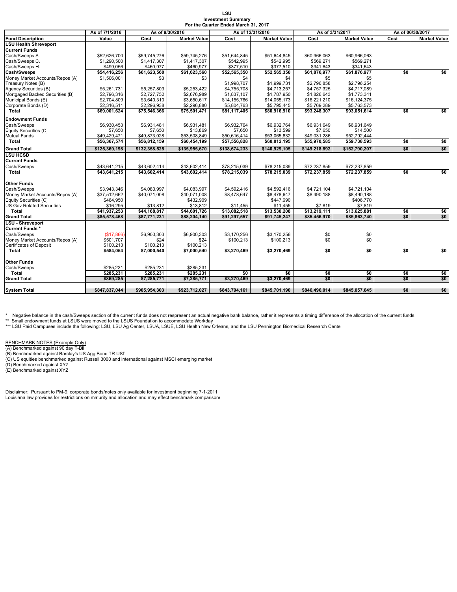| LSU                                  |  |
|--------------------------------------|--|
| <b>Investment Summarv</b>            |  |
| For the Quarter Ended March 31, 2017 |  |

|                                  | As of 7/1/2016<br>As of 9/30/2016 |               | As of 12/31/2016    |               | As of 3/31/2017     |               | As of 06/30/2017    |      |                     |
|----------------------------------|-----------------------------------|---------------|---------------------|---------------|---------------------|---------------|---------------------|------|---------------------|
| <b>Fund Description</b>          | Value                             | Cost          | <b>Market Value</b> | Cost          | <b>Market Value</b> | Cost          | <b>Market Value</b> | Cost | <b>Market Value</b> |
| <b>LSU Health Shreveport</b>     |                                   |               |                     |               |                     |               |                     |      |                     |
| <b>Current Funds</b>             |                                   |               |                     |               |                     |               |                     |      |                     |
| Cash/Sweeps S.                   | \$52,626,700                      | \$59,745,276  | \$59,745,276        | \$51,644,845  | \$51.644.845        | \$60,966,063  | \$60,966,063        |      |                     |
| Cash/Sweeps C.                   | \$1,290,500                       | \$1,417,307   | \$1,417,307         | \$542.995     | \$542.995           | \$569.271     | \$569,271           |      |                     |
| Cash/Sweeps H.                   | \$499,056                         | \$460,977     | \$460,977           | \$377,510     | \$377,510           | \$341,643     | \$341,643           |      |                     |
| Cash/Sweeps                      | \$54,416,256                      | \$61,623,560  | \$61,623,560        | \$52,565,350  | \$52,565,350        | \$61,876,977  | \$61,876,977        | \$0  | \$0                 |
| Money Market Accounts/Repos (A)  | \$1,506,001                       | \$3           | \$3                 | \$4           | \$4                 | \$5           | \$5                 |      |                     |
| Treasury Notes (B)               |                                   |               |                     | \$1,998,707   | \$1,999,731         | \$2,796,858   | \$2,796,254         |      |                     |
| Agency Securities (B)            | \$5,261,731                       | \$5,257,803   | \$5,253,422         | \$4,755,708   | \$4,713,257         | \$4,757,325   | \$4,717,089         |      |                     |
| Mortgaged Backed Securities (B)  | \$2,796,316                       | \$2,727,752   | \$2,676,989         | \$1,837,107   | \$1,787,950         | \$1,826,643   | \$1,773,341         |      |                     |
| Municipal Bonds (E)              | \$2,704,809                       | \$3,640,310   | \$3,650,617         | \$14,155,766  | \$14,055,173        | \$16,221,210  | \$16,124,375        |      |                     |
| Corporate Bonds (D)              | \$2,316,511                       | \$2,296,938   | \$2,296,880         | \$5,804,763   | \$5,795,445         | \$5,769,289   | \$5,763,573         |      |                     |
| <b>Total</b>                     | \$69,001,624                      | \$75,546,366  | \$75,501,471        | \$81,117,405  | \$80,916,910        | \$93,248,307  | \$93,051,614        | \$0  | \$0                 |
| <b>Endowment Funds</b>           |                                   |               |                     |               |                     |               |                     |      |                     |
| Cash/Sweeps                      | \$6,930,453                       | \$6,931,481   | \$6,931,481         | \$6,932,764   | \$6,932,764         | \$6,931,649   | \$6,931,649         |      |                     |
| Equity Securities (C)            | \$7.650                           | \$7,650       | \$13,869            | \$7.650       | \$13,599            | \$7,650       | \$14,500            |      |                     |
| <b>Mutual Funds</b>              | \$49,429,471                      | \$49,873,028  | \$53,508,849        | \$50,616,414  | \$53,065,832        | \$49,031,286  | \$52,792,444        |      |                     |
| Total                            | \$56,367,574                      | \$56,812,159  | \$60,454,199        | \$57,556,828  | \$60,012,195        | \$55,970,585  | \$59,738,593        | \$0  | \$0                 |
| <b>Grand Total</b>               | \$125,369,198                     | \$132,358,525 | \$135,955,670       | \$138,674,233 | \$140,929,105       | \$149,218,892 | \$152,790,207       | \$0  | \$0                 |
| <b>LSU HCSD</b>                  |                                   |               |                     |               |                     |               |                     |      |                     |
| <b>Current Funds</b>             |                                   |               |                     |               |                     |               |                     |      |                     |
| Cash/Sweeps                      | \$43,641,215                      | \$43,602,414  | \$43,602,414        | \$78,215,039  | \$78,215,039        | \$72,237,859  | \$72,237,859        |      |                     |
| <b>Total</b>                     | \$43,641,215                      | \$43,602,414  | \$43,602,414        | \$78,215,039  | \$78,215,039        | \$72,237,859  | \$72,237,859        | \$0  | \$0                 |
|                                  |                                   |               |                     |               |                     |               |                     |      |                     |
| Other Funds                      |                                   |               |                     |               |                     |               |                     |      |                     |
| Cash/Sweeps                      | \$3,943,346                       | \$4.083.997   | \$4,083,997         | \$4,592,416   | \$4,592,416         | \$4,721,104   | \$4,721,104         |      |                     |
| Money Market Accounts/Repos (A)  | \$37,512,662                      | \$40,071,008  | \$40,071,008        | \$8,478,647   | \$8,478,647         | \$8,490,188   | \$8,490,188         |      |                     |
| Equity Securities (C)            | \$464,950                         |               | \$432,909           |               | \$447,690           |               | \$406,770           |      |                     |
| <b>US Gov Related Securities</b> | \$16,295                          | \$13,812      | \$13,812            | \$11,455      | \$11,455            | \$7,819       | \$7,819             |      |                     |
| Total                            | \$41,937,253                      | \$44,168,817  | \$44,601,726        | \$13,082,518  | \$13,530,208        | \$13,219,111  | \$13,625,881        | \$0  | \$0                 |
| <b>Grand Total</b>               | \$85,578,468                      | \$87,771,231  | \$88,204,140        | \$91,297,557  | \$91,745,247        | \$85,456,970  | \$85,863,740        | \$0  | \$0                 |
| <b>LSU - Shreveport</b>          |                                   |               |                     |               |                     |               |                     |      |                     |
| Current Funds*                   |                                   |               |                     |               |                     |               |                     |      |                     |
| Cash/Sweeps                      | (\$17,866)                        | \$6,900,303   | \$6,900,303         | \$3.170.256   | \$3,170,256         | \$0           | \$0                 |      |                     |
| Money Market Accounts/Repos (A)  | \$501,707                         | \$24          | \$24                | \$100,213     | \$100,213           | \$0           | \$0                 |      |                     |
| Certificates of Deposit          | \$100,213                         | \$100,213     | \$100,213           |               |                     |               |                     |      |                     |
| <b>Total</b>                     | \$584,054                         | \$7,000,540   | \$7,000,540         | \$3,270,469   | \$3,270,469         | \$0           | \$0                 | \$0  | \$0                 |
|                                  |                                   |               |                     |               |                     |               |                     |      |                     |
| <b>Other Funds</b>               |                                   |               |                     |               |                     |               |                     |      |                     |
| Cash/Sweeps                      | \$285,231                         | \$285,231     | \$285,231           |               |                     |               |                     |      |                     |
| Total                            | \$285,231                         | \$285,231     | \$285,231           | \$0           | \$0                 | \$0           | \$0                 | \$0  | \$0                 |
| <b>Grand Total</b>               | \$869.285                         | \$7,285,771   | \$7,285,771         | \$3,270,469   | \$3,270,469         | \$0           | \$0                 | \$0  | \$0                 |
| <b>System Total</b>              | \$847,837,044                     | \$905,954,303 | \$923,712,027       | \$843,794,161 | \$845,701,190       | \$846,496,014 | \$845,057,645       | \$0  | \$0                 |
|                                  |                                   |               |                     |               |                     |               |                     |      |                     |

\* Negative balance in the cash/Sweeps section of the current funds does not respresent an actual negative bank balance, rather it represents a timing difference of the allocation of the current funds.

\*\* Small endowment funds at LSUS were moved to the LSUS Foundation to accommodate Workday<br>\*\*\* LSU Paid Campuses include the following: LSU, LSU Ag Center, LSUA, LSUE, LSU Health New Orleans, and the LSU Pennington Biomedic

BENCHMARK NOTES (Example Only)<br>(A) Benchmarked against 90 day T-Bil<br>(B) Benchmarked against Barclay's US Agg Bond TR USD<br>(C) US equities benchmarked against Russell 3000 and international against MSCI emerging market<br>(D) B

Disclaimer: Pursuant to PM-9, corporate bonds/notes only available for investment beginning 7-1-2011 Louisiana law provides for restrictions on maturity and allocation and may effect benchmark comparisons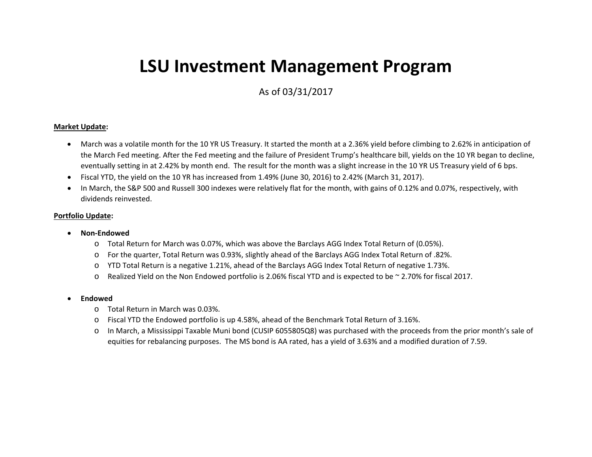# **LSU Investment Management Program**

As of 03/31/2017

#### **Market Update:**

- $\bullet$  March was <sup>a</sup> volatile month for the 10 YR US Treasury. It started the month at <sup>a</sup> 2.36% yield before climbing to 2.62% in anticipation of the March Fed meeting. After the Fed meeting and the failure of President Trump's healthcare bill, yields on the 10 YR began to decline, eventually setting in at 2.42% by month end. The result for the month was <sup>a</sup> slight increase in the 10 YR US Treasury yield of 6 bps.
- $\bullet$ Fiscal YTD, the yield on the 10 YR has increased from 1.49% (June 30, 2016) to 2.42% (March 31, 2017).
- $\bullet$  In March, the S&P 500 and Russell 300 indexes were relatively flat for the month, with gains of 0.12% and 0.07%, respectively, with dividends reinvested.

#### **Portfolio Update:**

- . **Non‐Endowed**
	- o Total Return for March was 0.07%, which was above the Barclays AGG Index Total Return of (0.05%).
	- oFor the quarter, Total Return was 0.93%, slightly ahead of the Barclays AGG Index Total Return of .82%.
	- oYTD Total Return is <sup>a</sup> negative 1.21%, ahead of the Barclays AGG Index Total Return of negative 1.73%.
	- oRealized Yield on the Non Endowed portfolio is 2.06% fiscal YTD and is expected to be <sup>~</sup> 2.70% for fiscal 2017.
- . **Endowed**
	- o Total Return in March was 0.03%.
	- o $\circ$  Fiscal YTD the Endowed portfolio is up 4.58%, ahead of the Benchmark Total Return of 3.16%.
	- o In March, <sup>a</sup> Mississippi Taxable Muni bond (CUSIP 6055805Q8) was purchased with the proceeds from the prior month's sale of equities for rebalancing purposes. The MS bond is AA rated, has <sup>a</sup> yield of 3.63% and <sup>a</sup> modified duration of 7.59.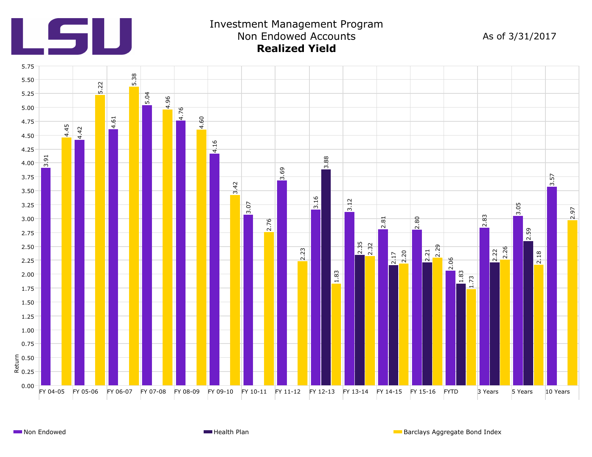

## Investment Management Program Non Endowed Accounts **Realized Yield**

As of 3/31/2017

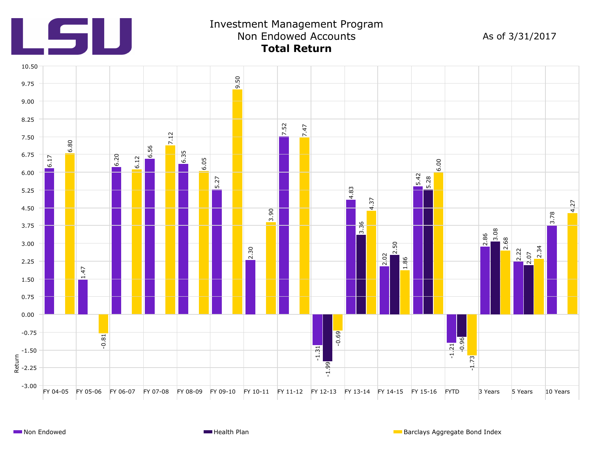

## Investment Management Program Non Endowed Accounts **Total Return**

As of 3/31/2017

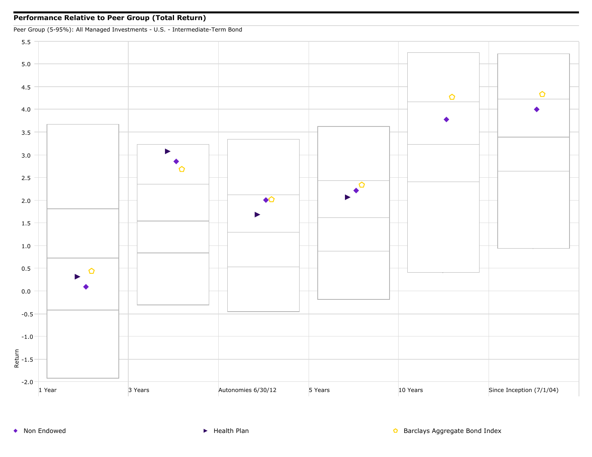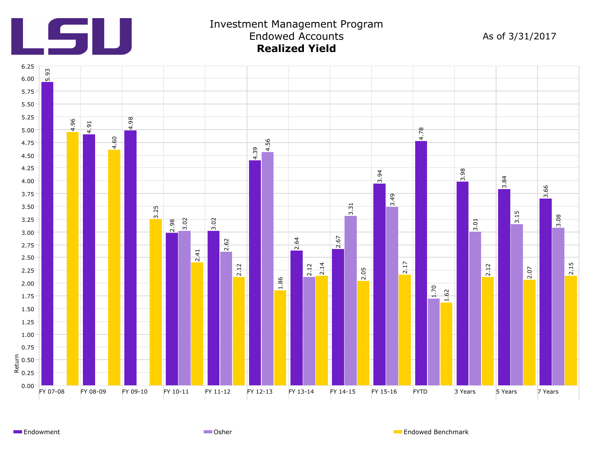

### Investment Management Program Endowed Accounts **Realized Yield**

As of 3/31/2017



Endowment **Endowment Endowed Benchmark** Communication Communication Communication Communication Communication Communication Communication Communication Communication Communication Communication Communication Communication